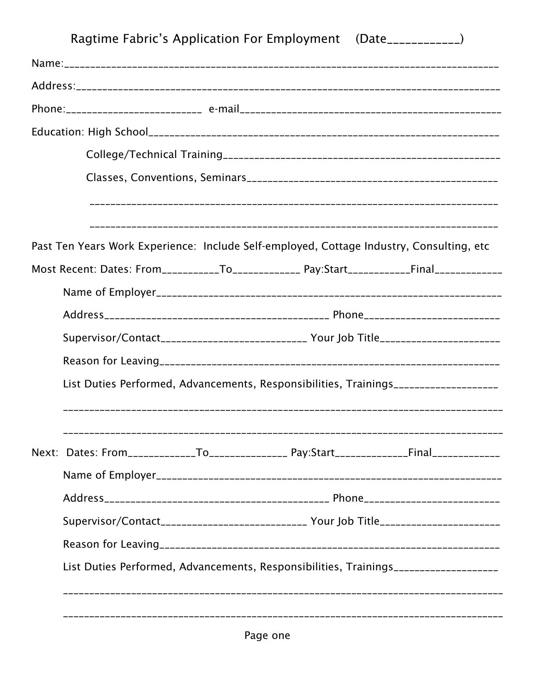| Ragtime Fabric's Application For Employment (Date____________)                               |  |  |  |  |  |  |  |
|----------------------------------------------------------------------------------------------|--|--|--|--|--|--|--|
|                                                                                              |  |  |  |  |  |  |  |
|                                                                                              |  |  |  |  |  |  |  |
|                                                                                              |  |  |  |  |  |  |  |
|                                                                                              |  |  |  |  |  |  |  |
|                                                                                              |  |  |  |  |  |  |  |
|                                                                                              |  |  |  |  |  |  |  |
|                                                                                              |  |  |  |  |  |  |  |
|                                                                                              |  |  |  |  |  |  |  |
| Past Ten Years Work Experience: Include Self-employed, Cottage Industry, Consulting, etc     |  |  |  |  |  |  |  |
| Most Recent: Dates: From___________To_______________ Pay:Start____________Final_____________ |  |  |  |  |  |  |  |
|                                                                                              |  |  |  |  |  |  |  |
|                                                                                              |  |  |  |  |  |  |  |
| Supervisor/Contact__________________________ Your Job Title_____________________             |  |  |  |  |  |  |  |
|                                                                                              |  |  |  |  |  |  |  |
| List Duties Performed, Advancements, Responsibilities, Trainings_________________            |  |  |  |  |  |  |  |
|                                                                                              |  |  |  |  |  |  |  |
|                                                                                              |  |  |  |  |  |  |  |
|                                                                                              |  |  |  |  |  |  |  |
|                                                                                              |  |  |  |  |  |  |  |
|                                                                                              |  |  |  |  |  |  |  |
| Supervisor/Contact___________________________ Your Job Title____________________             |  |  |  |  |  |  |  |
|                                                                                              |  |  |  |  |  |  |  |
| List Duties Performed, Advancements, Responsibilities, Trainings_________________            |  |  |  |  |  |  |  |
|                                                                                              |  |  |  |  |  |  |  |
|                                                                                              |  |  |  |  |  |  |  |